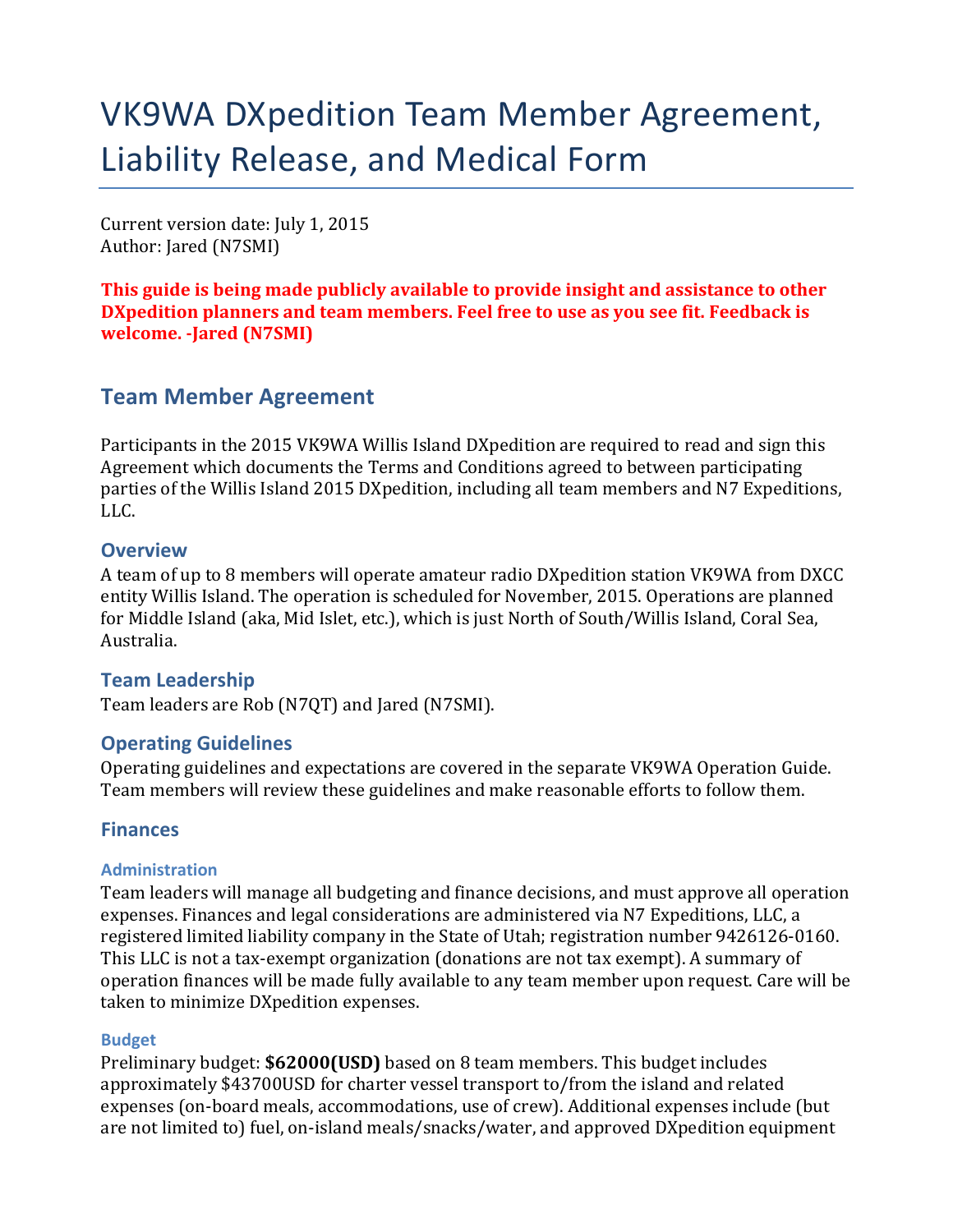# VK9WA DXpedition Team Member Agreement, Liability Release, and Medical Form

Current version date: July 1, 2015 Author: Jared (N7SMI)

This guide is being made publicly available to provide insight and assistance to other **DXpedition planners and team members. Feel free to use as you see fit. Feedback is welcome. -Jared (N7SMI)**

# **Team Member Agreement**

Participants in the 2015 VK9WA Willis Island DXpedition are required to read and sign this Agreement which documents the Terms and Conditions agreed to between participating parties of the Willis Island 2015 DXpedition, including all team members and N7 Expeditions, LLC.

### **Overview**

A team of up to 8 members will operate amateur radio DXpedition station VK9WA from DXCC entity Willis Island. The operation is scheduled for November, 2015. Operations are planned for Middle Island (aka, Mid Islet, etc.), which is just North of South/Willis Island, Coral Sea, Australia.

## **Team Leadership**

Team leaders are Rob (N7QT) and Jared (N7SMI).

## **Operating Guidelines**

Operating guidelines and expectations are covered in the separate VK9WA Operation Guide. Team members will review these guidelines and make reasonable efforts to follow them.

## **Finances**

#### **Administration**

Team leaders will manage all budgeting and finance decisions, and must approve all operation expenses. Finances and legal considerations are administered via N7 Expeditions, LLC, a registered limited liability company in the State of Utah; registration number 9426126-0160. This LLC is not a tax-exempt organization (donations are not tax exempt). A summary of operation finances will be made fully available to any team member upon request. Care will be taken to minimize DXpedition expenses.

#### **Budget**

Preliminary budget: **\$62000(USD)** based on 8 team members. This budget includes approximately \$43700USD for charter vessel transport to/from the island and related expenses (on-board meals, accommodations, use of crew). Additional expenses include (but are not limited to) fuel, on-island meals/snacks/water, and approved DXpedition equipment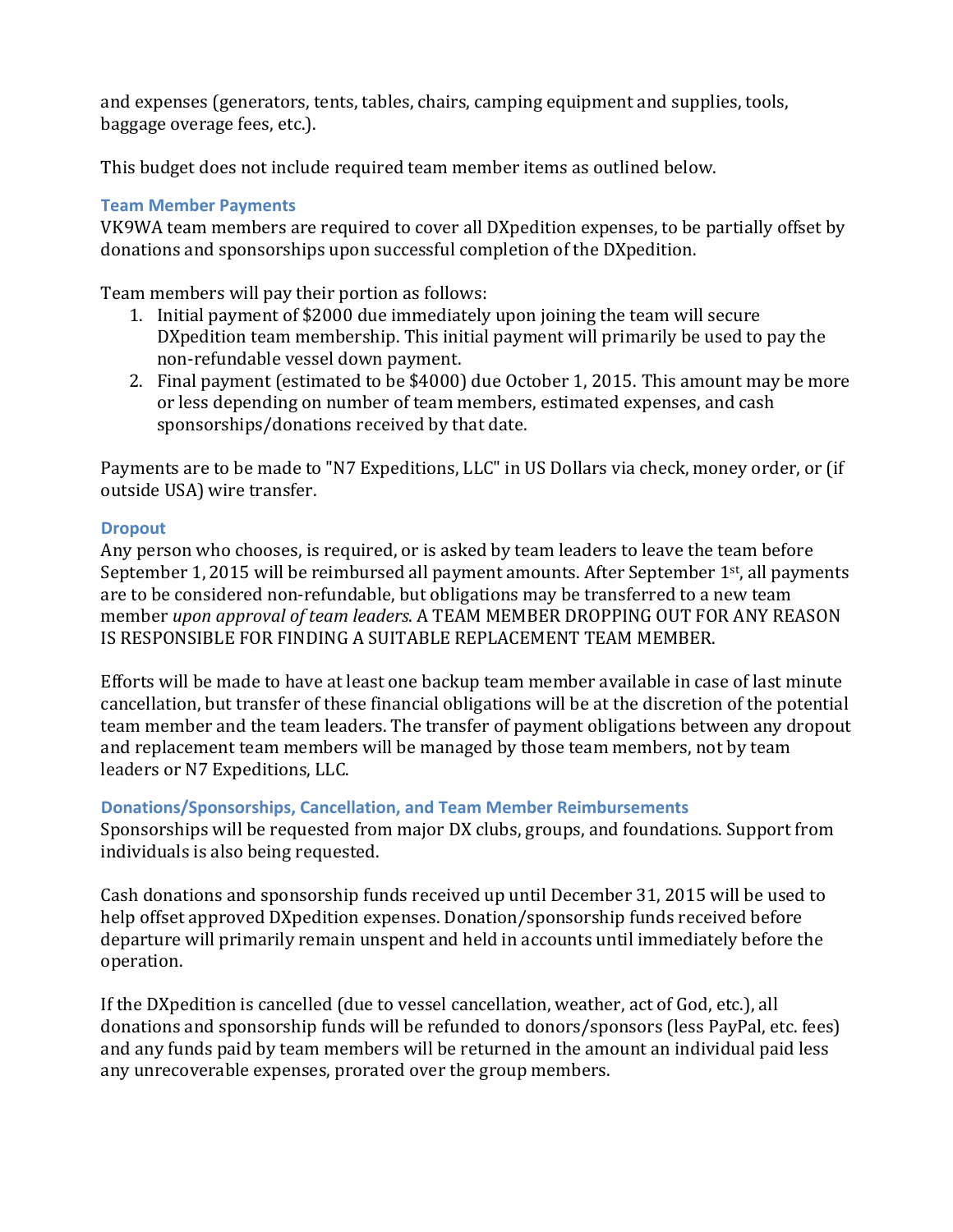and expenses (generators, tents, tables, chairs, camping equipment and supplies, tools, baggage overage fees, etc.).

This budget does not include required team member items as outlined below.

### **Team Member Payments**

VK9WA team members are required to cover all DXpedition expenses, to be partially offset by donations and sponsorships upon successful completion of the DXpedition.

Team members will pay their portion as follows:

- 1. Initial payment of \$2000 due immediately upon joining the team will secure DXpedition team membership. This initial payment will primarily be used to pay the non-refundable vessel down payment.
- 2. Final payment (estimated to be \$4000) due October 1, 2015. This amount may be more or less depending on number of team members, estimated expenses, and cash sponsorships/donations received by that date.

Payments are to be made to "N7 Expeditions, LLC" in US Dollars via check, money order, or (if outside USA) wire transfer.

#### **Dropout**

Any person who chooses, is required, or is asked by team leaders to leave the team before September 1, 2015 will be reimbursed all payment amounts. After September  $1<sup>st</sup>$ , all payments are to be considered non-refundable, but obligations may be transferred to a new team member *upon approval of team leaders*. A TEAM MEMBER DROPPING OUT FOR ANY REASON IS RESPONSIBLE FOR FINDING A SUITABLE REPLACEMENT TEAM MEMBER.

Efforts will be made to have at least one backup team member available in case of last minute cancellation, but transfer of these financial obligations will be at the discretion of the potential team member and the team leaders. The transfer of payment obligations between any dropout and replacement team members will be managed by those team members, not by team leaders or N7 Expeditions, LLC.

#### **Donations/Sponsorships, Cancellation, and Team Member Reimbursements**

Sponsorships will be requested from major DX clubs, groups, and foundations. Support from individuals is also being requested.

Cash donations and sponsorship funds received up until December 31, 2015 will be used to help offset approved DXpedition expenses. Donation/sponsorship funds received before departure will primarily remain unspent and held in accounts until immediately before the operation.

If the DXpedition is cancelled (due to vessel cancellation, weather, act of God, etc.), all donations and sponsorship funds will be refunded to donors/sponsors (less PayPal, etc. fees) and any funds paid by team members will be returned in the amount an individual paid less any unrecoverable expenses, prorated over the group members.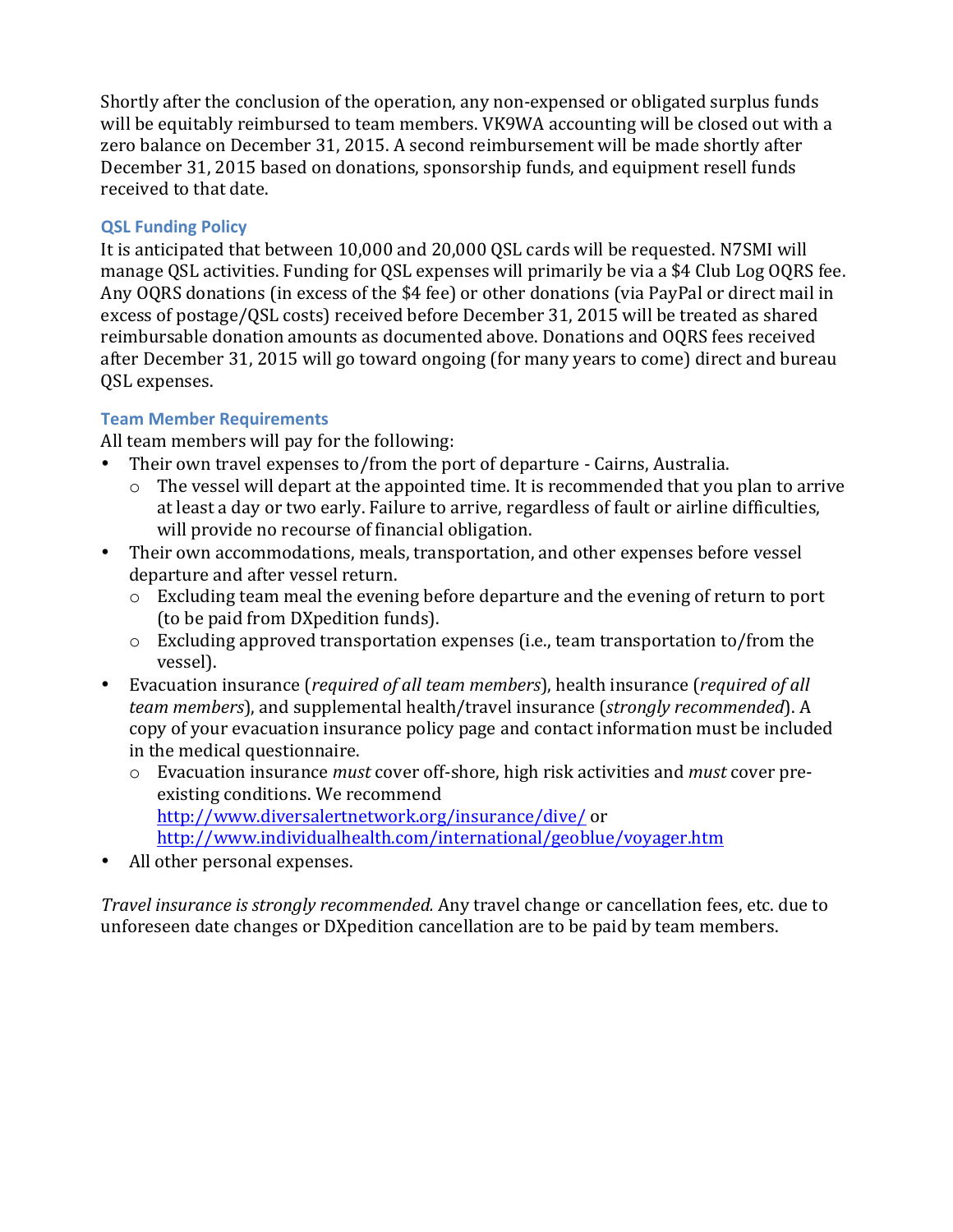Shortly after the conclusion of the operation, any non-expensed or obligated surplus funds will be equitably reimbursed to team members. VK9WA accounting will be closed out with a zero balance on December 31, 2015. A second reimbursement will be made shortly after December 31, 2015 based on donations, sponsorship funds, and equipment resell funds received to that date.

## **QSL Funding Policy**

It is anticipated that between 10,000 and 20,000 OSL cards will be requested. N7SMI will manage QSL activities. Funding for QSL expenses will primarily be via a \$4 Club Log OQRS fee. Any OQRS donations (in excess of the \$4 fee) or other donations (via PayPal or direct mail in excess of postage/QSL costs) received before December 31, 2015 will be treated as shared reimbursable donation amounts as documented above. Donations and OQRS fees received after December 31, 2015 will go toward ongoing (for many years to come) direct and bureau QSL expenses.

### **Team Member Requirements**

All team members will pay for the following:

- Their own travel expenses to/from the port of departure Cairns, Australia.
	- $\circ$  The vessel will depart at the appointed time. It is recommended that you plan to arrive at least a day or two early. Failure to arrive, regardless of fault or airline difficulties, will provide no recourse of financial obligation.
- Their own accommodations, meals, transportation, and other expenses before vessel departure and after vessel return.
	- o Excluding team meal the evening before departure and the evening of return to port (to be paid from DXpedition funds).
	- o Excluding approved transportation expenses (i.e., team transportation to/from the vessel).
- Evacuation insurance (*required of all team members*), health insurance (*required of all team members*), and supplemental health/travel insurance (*strongly recommended*). A copy of your evacuation insurance policy page and contact information must be included in the medical questionnaire.
	- o Evacuation insurance *must* cover off-shore, high risk activities and *must* cover preexisting conditions. We recommend http://www.diversalertnetwork.org/insurance/dive/ or http://www.individualhealth.com/international/geoblue/voyager.htm
- All other personal expenses.

*Travel insurance is strongly recommended.* Any travel change or cancellation fees, etc. due to unforeseen date changes or DXpedition cancellation are to be paid by team members.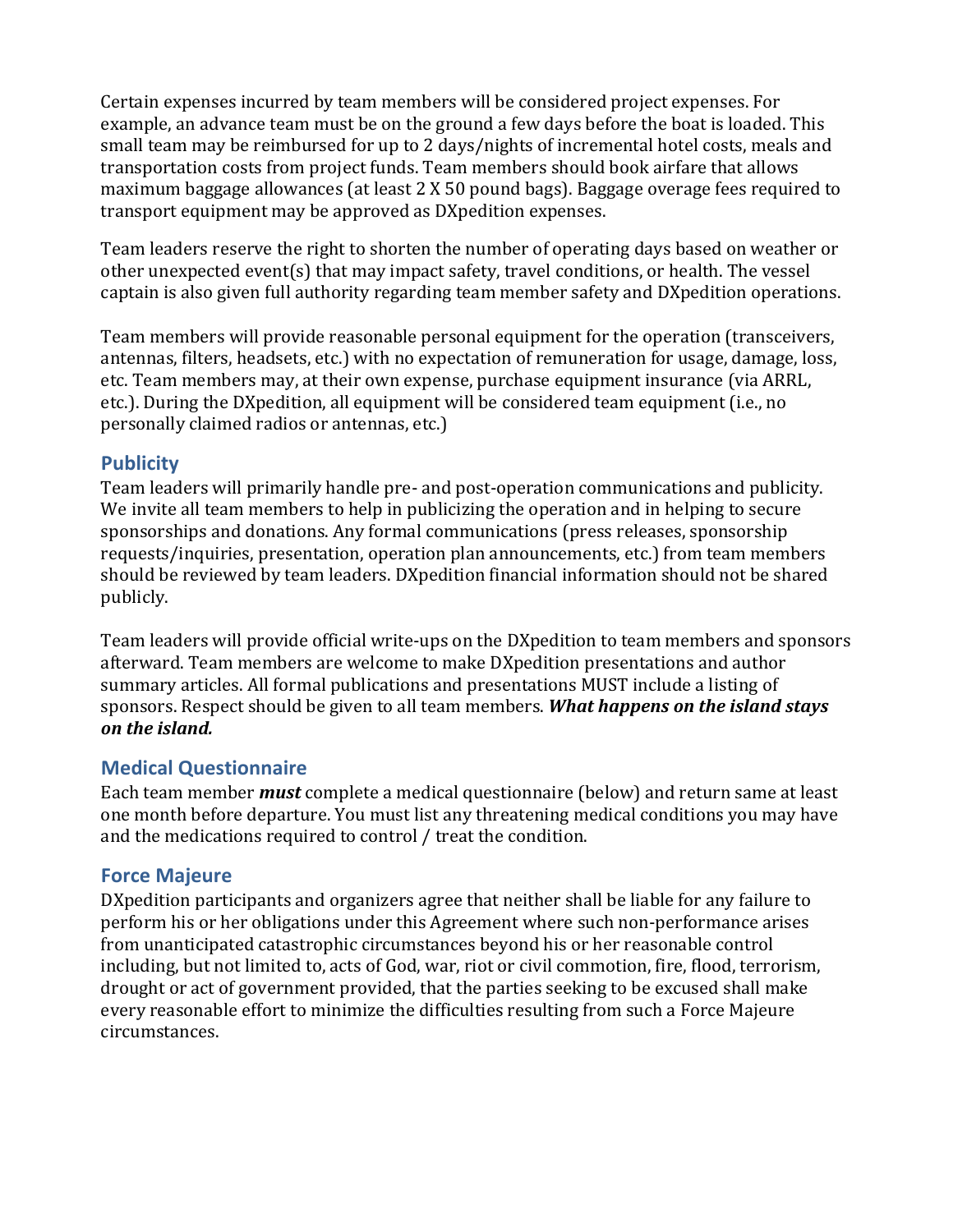Certain expenses incurred by team members will be considered project expenses. For example, an advance team must be on the ground a few days before the boat is loaded. This small team may be reimbursed for up to 2 days/nights of incremental hotel costs, meals and transportation costs from project funds. Team members should book airfare that allows maximum baggage allowances (at least 2 X 50 pound bags). Baggage overage fees required to transport equipment may be approved as DXpedition expenses.

Team leaders reserve the right to shorten the number of operating days based on weather or other unexpected event(s) that may impact safety, travel conditions, or health. The vessel captain is also given full authority regarding team member safety and DXpedition operations.

Team members will provide reasonable personal equipment for the operation (transceivers, antennas, filters, headsets, etc.) with no expectation of remuneration for usage, damage, loss, etc. Team members may, at their own expense, purchase equipment insurance (via ARRL, etc.). During the DXpedition, all equipment will be considered team equipment (i.e., no personally claimed radios or antennas, etc.)

## **Publicity**

Team leaders will primarily handle pre- and post-operation communications and publicity. We invite all team members to help in publicizing the operation and in helping to secure sponsorships and donations. Any formal communications (press releases, sponsorship requests/inquiries, presentation, operation plan announcements, etc.) from team members should be reviewed by team leaders. DXpedition financial information should not be shared publicly.

Team leaders will provide official write-ups on the DXpedition to team members and sponsors afterward. Team members are welcome to make DXpedition presentations and author summary articles. All formal publications and presentations MUST include a listing of sponsors. Respect should be given to all team members. *What happens on the island stays on the island.*

# **Medical Questionnaire**

Each team member *must* complete a medical questionnaire (below) and return same at least one month before departure. You must list any threatening medical conditions you may have and the medications required to control / treat the condition.

# **Force Majeure**

DXpedition participants and organizers agree that neither shall be liable for any failure to perform his or her obligations under this Agreement where such non-performance arises from unanticipated catastrophic circumstances beyond his or her reasonable control including, but not limited to, acts of God, war, riot or civil commotion, fire, flood, terrorism, drought or act of government provided, that the parties seeking to be excused shall make every reasonable effort to minimize the difficulties resulting from such a Force Majeure circumstances.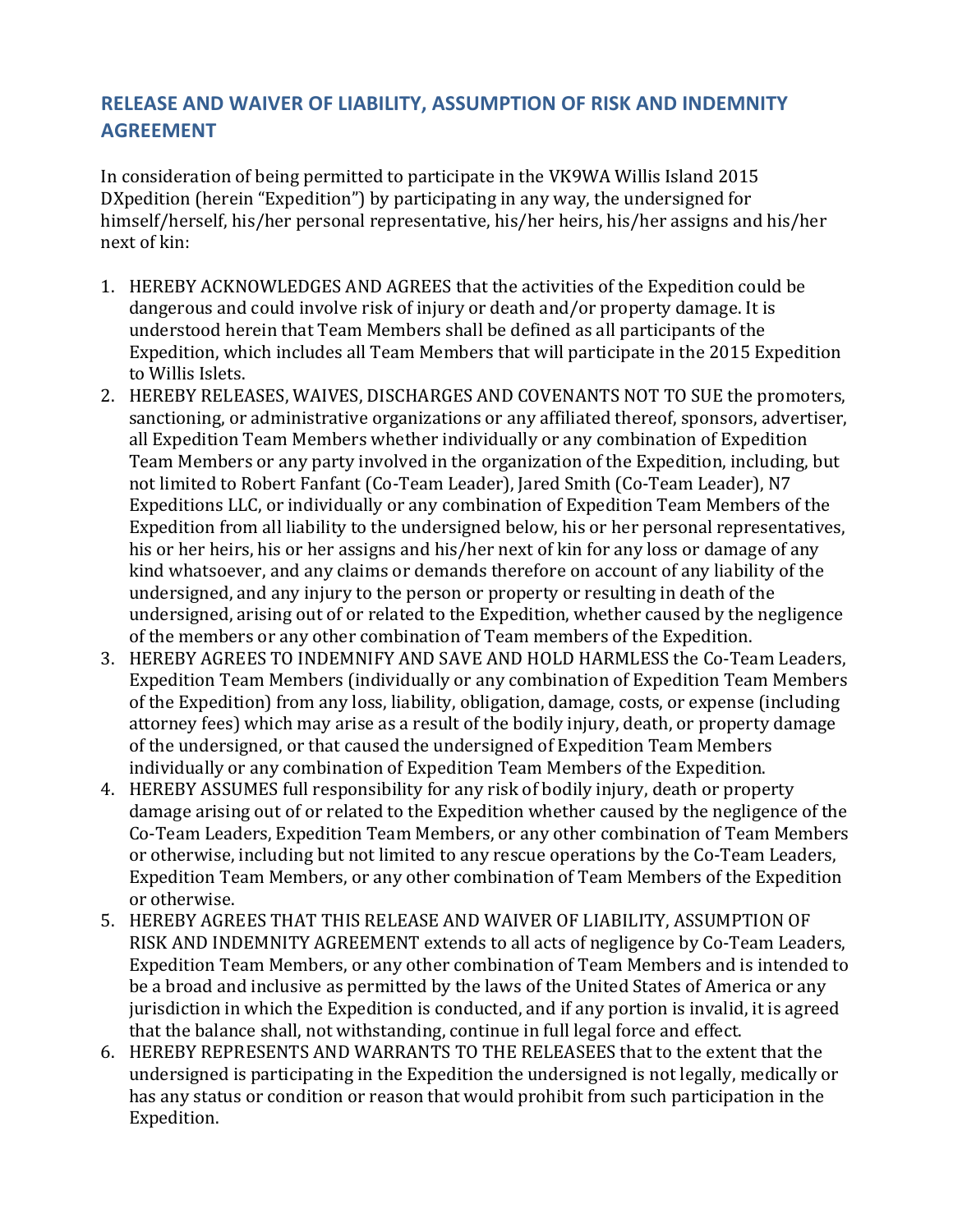# **RELEASE AND WAIVER OF LIABILITY, ASSUMPTION OF RISK AND INDEMNITY AGREEMENT**

In consideration of being permitted to participate in the VK9WA Willis Island 2015 DXpedition (herein "Expedition") by participating in any way, the undersigned for himself/herself, his/her personal representative, his/her heirs, his/her assigns and his/her next of kin:

- 1. HEREBY ACKNOWLEDGES AND AGREES that the activities of the Expedition could be dangerous and could involve risk of injury or death and/or property damage. It is understood herein that Team Members shall be defined as all participants of the Expedition, which includes all Team Members that will participate in the 2015 Expedition to Willis Islets.
- 2. HEREBY RELEASES, WAIVES, DISCHARGES AND COVENANTS NOT TO SUE the promoters, sanctioning, or administrative organizations or any affiliated thereof, sponsors, advertiser, all Expedition Team Members whether individually or any combination of Expedition Team Members or any party involved in the organization of the Expedition, including, but not limited to Robert Fanfant (Co-Team Leader), Jared Smith (Co-Team Leader), N7 Expeditions LLC, or individually or any combination of Expedition Team Members of the Expedition from all liability to the undersigned below, his or her personal representatives, his or her heirs, his or her assigns and his/her next of kin for any loss or damage of any kind whatsoever, and any claims or demands therefore on account of any liability of the undersigned, and any injury to the person or property or resulting in death of the undersigned, arising out of or related to the Expedition, whether caused by the negligence of the members or any other combination of Team members of the Expedition.
- 3. HEREBY AGREES TO INDEMNIFY AND SAVE AND HOLD HARMLESS the Co-Team Leaders, Expedition Team Members (individually or any combination of Expedition Team Members of the Expedition) from any loss, liability, obligation, damage, costs, or expense (including attorney fees) which may arise as a result of the bodily injury, death, or property damage of the undersigned, or that caused the undersigned of Expedition Team Members individually or any combination of Expedition Team Members of the Expedition.
- 4. HEREBY ASSUMES full responsibility for any risk of bodily injury, death or property damage arising out of or related to the Expedition whether caused by the negligence of the Co-Team Leaders, Expedition Team Members, or any other combination of Team Members or otherwise, including but not limited to any rescue operations by the Co-Team Leaders, Expedition Team Members, or any other combination of Team Members of the Expedition or otherwise.
- 5. HEREBY AGREES THAT THIS RELEASE AND WAIVER OF LIABILITY, ASSUMPTION OF RISK AND INDEMNITY AGREEMENT extends to all acts of negligence by Co-Team Leaders, Expedition Team Members, or any other combination of Team Members and is intended to be a broad and inclusive as permitted by the laws of the United States of America or any jurisdiction in which the Expedition is conducted, and if any portion is invalid, it is agreed that the balance shall, not withstanding, continue in full legal force and effect.
- 6. HEREBY REPRESENTS AND WARRANTS TO THE RELEASEES that to the extent that the undersigned is participating in the Expedition the undersigned is not legally, medically or has any status or condition or reason that would prohibit from such participation in the Expedition.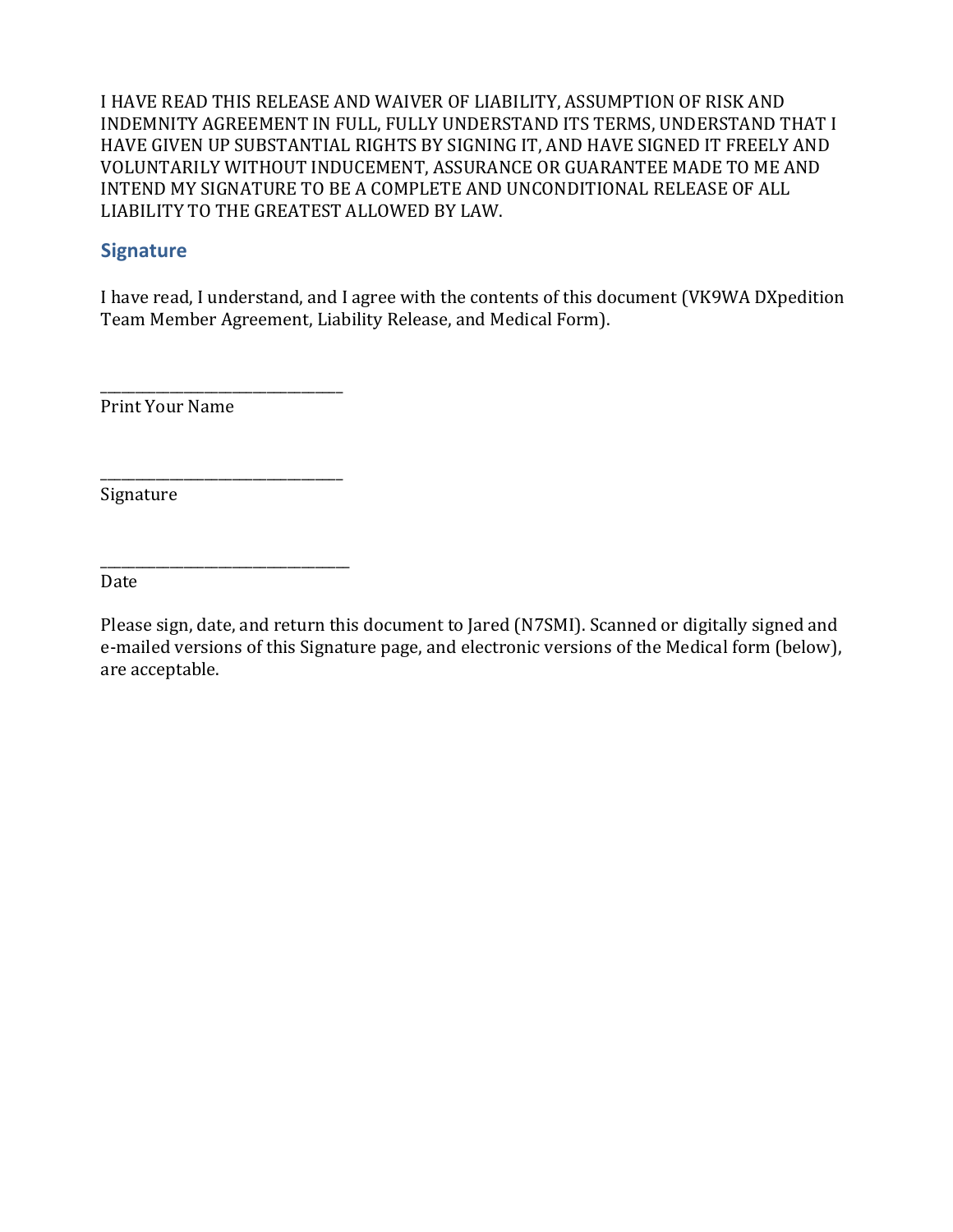I HAVE READ THIS RELEASE AND WAIVER OF LIABILITY, ASSUMPTION OF RISK AND INDEMNITY AGREEMENT IN FULL, FULLY UNDERSTAND ITS TERMS, UNDERSTAND THAT I HAVE GIVEN UP SUBSTANTIAL RIGHTS BY SIGNING IT, AND HAVE SIGNED IT FREELY AND VOLUNTARILY WITHOUT INDUCEMENT, ASSURANCE OR GUARANTEE MADE TO ME AND INTEND MY SIGNATURE TO BE A COMPLETE AND UNCONDITIONAL RELEASE OF ALL LIABILITY TO THE GREATEST ALLOWED BY LAW.

## **Signature**

I have read, I understand, and I agree with the contents of this document (VK9WA DXpedition Team Member Agreement, Liability Release, and Medical Form).

Print Your Name

\_\_\_\_\_\_\_\_\_\_\_\_\_\_\_\_\_\_\_\_\_\_\_\_\_\_\_\_\_\_\_\_\_\_\_

\_\_\_\_\_\_\_\_\_\_\_\_\_\_\_\_\_\_\_\_\_\_\_\_\_\_\_\_\_\_\_\_\_\_\_

\_\_\_\_\_\_\_\_\_\_\_\_\_\_\_\_\_\_\_\_\_\_\_\_\_\_\_\_\_\_\_\_\_\_\_\_

Signature

Date

Please sign, date, and return this document to Jared (N7SMI). Scanned or digitally signed and e-mailed versions of this Signature page, and electronic versions of the Medical form (below), are acceptable.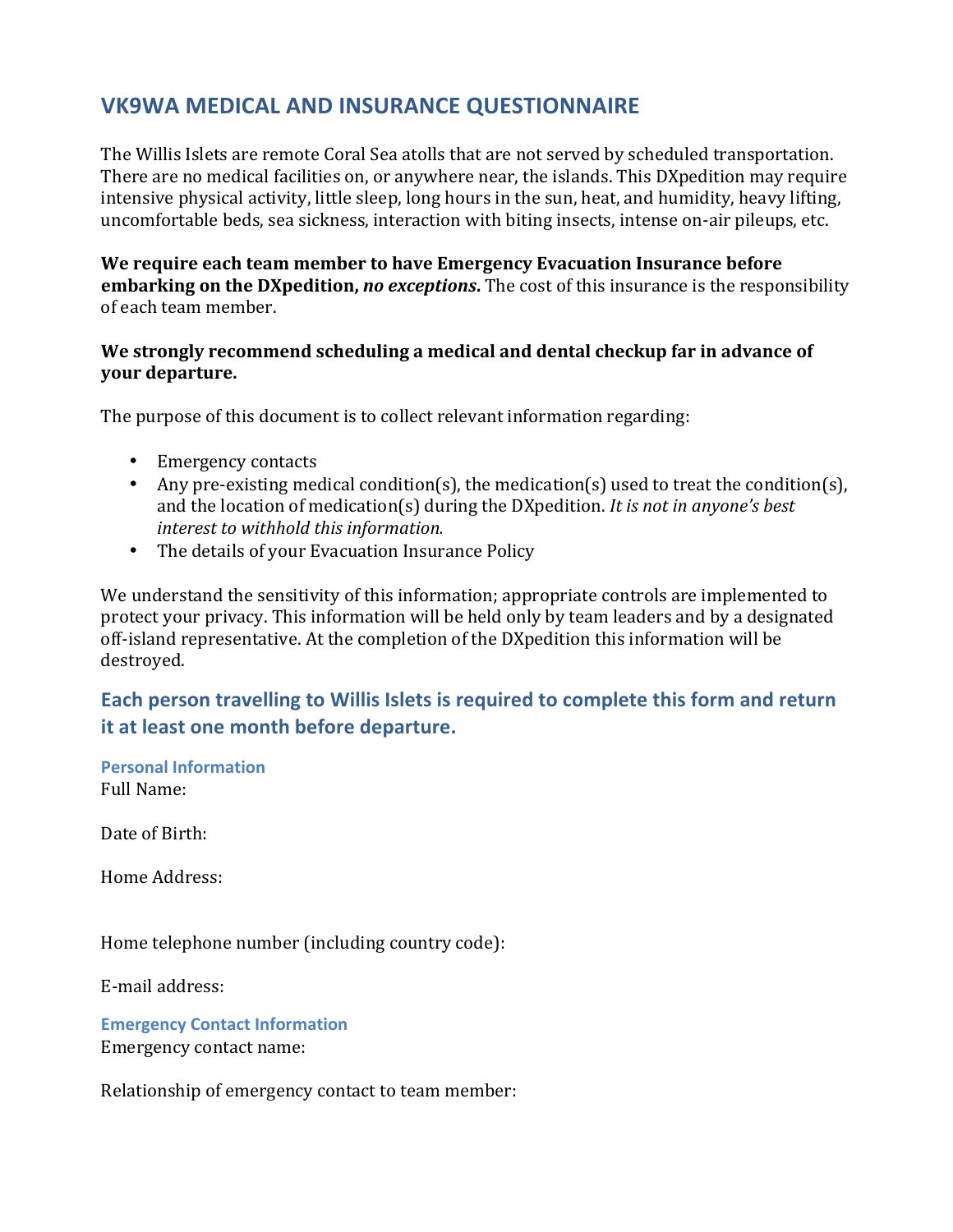# **VK9WA MEDICAL AND INSURANCE QUESTIONNAIRE**

The Willis Islets are remote Coral Sea atolls that are not served by scheduled transportation. There are no medical facilities on, or anywhere near, the islands. This DXpedition may require intensive physical activity, little sleep, long hours in the sun, heat, and humidity, heavy lifting, uncomfortable beds, sea sickness, interaction with biting insects, intense on-air pileups, etc.

We require each team member to have Emergency Evacuation Insurance before **embarking on the DXpedition,** *no exceptions*. The cost of this insurance is the responsibility of each team member.

#### We strongly recommend scheduling a medical and dental checkup far in advance of **your departure.**

The purpose of this document is to collect relevant information regarding:

- Emergency contacts
- Any pre-existing medical condition(s), the medication(s) used to treat the condition(s), and the location of medication(s) during the DXpedition. *It is not in anyone's best interest to withhold this information.*
- The details of your Evacuation Insurance Policy

We understand the sensitivity of this information; appropriate controls are implemented to protect your privacy. This information will be held only by team leaders and by a designated off-island representative. At the completion of the DXpedition this information will be destroyed.

# **Each person travelling to Willis Islets is required to complete this form and return it at least one month before departure.**

**Personal Information** Full Name:

Date of Birth:

Home Address:

Home telephone number (including country code):

E-mail address:

**Emergency Contact Information** Emergency contact name:

Relationship of emergency contact to team member: